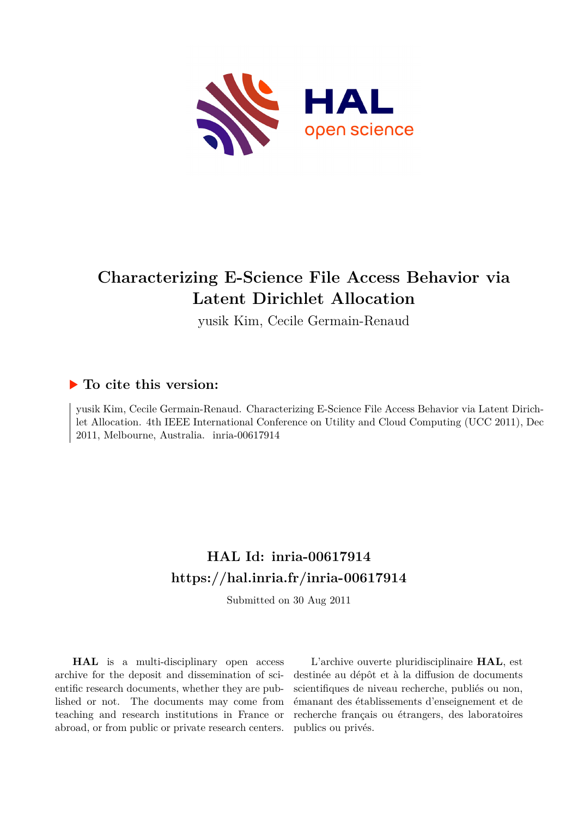

## **Characterizing E-Science File Access Behavior via Latent Dirichlet Allocation**

yusik Kim, Cecile Germain-Renaud

### **To cite this version:**

yusik Kim, Cecile Germain-Renaud. Characterizing E-Science File Access Behavior via Latent Dirichlet Allocation. 4th IEEE International Conference on Utility and Cloud Computing (UCC 2011), Dec 2011, Melbourne, Australia. inria-00617914

## **HAL Id: inria-00617914 <https://hal.inria.fr/inria-00617914>**

Submitted on 30 Aug 2011

**HAL** is a multi-disciplinary open access archive for the deposit and dissemination of scientific research documents, whether they are published or not. The documents may come from teaching and research institutions in France or abroad, or from public or private research centers.

L'archive ouverte pluridisciplinaire **HAL**, est destinée au dépôt et à la diffusion de documents scientifiques de niveau recherche, publiés ou non, émanant des établissements d'enseignement et de recherche français ou étrangers, des laboratoires publics ou privés.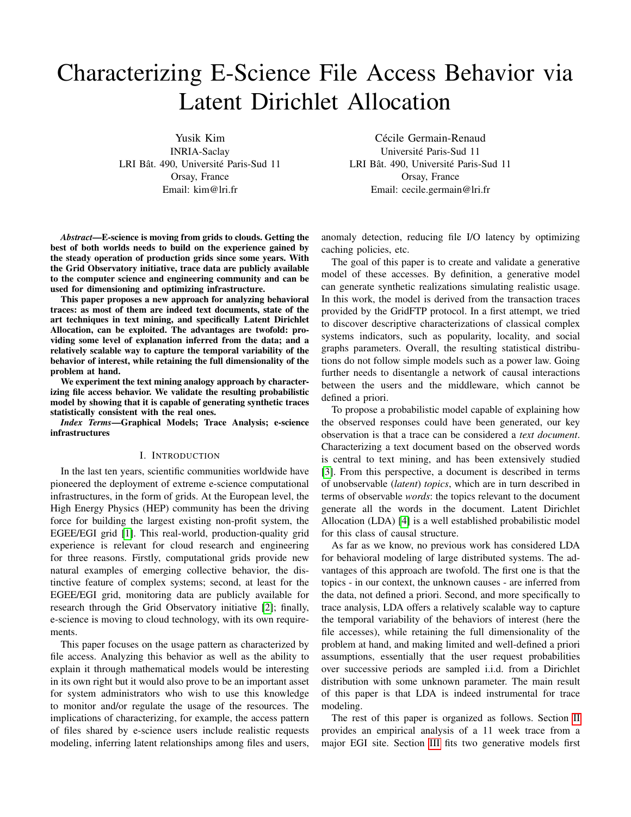# Characterizing E-Science File Access Behavior via Latent Dirichlet Allocation

Yusik Kim INRIA-Saclay LRI Bât. 490, Université Paris-Sud 11 Orsay, France Email: kim@lri.fr

Cécile Germain-Renaud Universite Paris-Sud 11 ´ LRI Bât. 490, Université Paris-Sud 11 Orsay, France Email: cecile.germain@lri.fr

*Abstract*—E-science is moving from grids to clouds. Getting the best of both worlds needs to build on the experience gained by the steady operation of production grids since some years. With the Grid Observatory initiative, trace data are publicly available to the computer science and engineering community and can be used for dimensioning and optimizing infrastructure.

This paper proposes a new approach for analyzing behavioral traces: as most of them are indeed text documents, state of the art techniques in text mining, and specifically Latent Dirichlet Allocation, can be exploited. The advantages are twofold: providing some level of explanation inferred from the data; and a relatively scalable way to capture the temporal variability of the behavior of interest, while retaining the full dimensionality of the problem at hand.

We experiment the text mining analogy approach by characterizing file access behavior. We validate the resulting probabilistic model by showing that it is capable of generating synthetic traces statistically consistent with the real ones.

*Index Terms*—Graphical Models; Trace Analysis; e-science infrastructures

#### I. INTRODUCTION

In the last ten years, scientific communities worldwide have pioneered the deployment of extreme e-science computational infrastructures, in the form of grids. At the European level, the High Energy Physics (HEP) community has been the driving force for building the largest existing non-profit system, the EGEE/EGI grid [1]. This real-world, production-quality grid experience is relevant for cloud research and engineering for three reasons. Firstly, computational grids provide new natural examples of emerging collective behavior, the distinctive feature of complex systems; second, at least for the EGEE/EGI grid, monitoring data are publicly available for research through the Grid Observatory initiative [2]; finally, e-science is moving to cloud technology, with its own requirements.

This paper focuses on the usage pattern as characterized by file access. Analyzing this behavior as well as the ability to explain it through mathematical models would be interesting in its own right but it would also prove to be an important asset for system administrators who wish to use this knowledge to monitor and/or regulate the usage of the resources. The implications of characterizing, for example, the access pattern of files shared by e-science users include realistic requests modeling, inferring latent relationships among files and users,

anomaly detection, reducing file I/O latency by optimizing caching policies, etc.

The goal of this paper is to create and validate a generative model of these accesses. By definition, a generative model can generate synthetic realizations simulating realistic usage. In this work, the model is derived from the transaction traces provided by the GridFTP protocol. In a first attempt, we tried to discover descriptive characterizations of classical complex systems indicators, such as popularity, locality, and social graphs parameters. Overall, the resulting statistical distributions do not follow simple models such as a power law. Going further needs to disentangle a network of causal interactions between the users and the middleware, which cannot be defined a priori.

To propose a probabilistic model capable of explaining how the observed responses could have been generated, our key observation is that a trace can be considered a *text document*. Characterizing a text document based on the observed words is central to text mining, and has been extensively studied [3]. From this perspective, a document is described in terms of unobservable (*latent*) *topics*, which are in turn described in terms of observable *words*: the topics relevant to the document generate all the words in the document. Latent Dirichlet Allocation (LDA) [4] is a well established probabilistic model for this class of causal structure.

As far as we know, no previous work has considered LDA for behavioral modeling of large distributed systems. The advantages of this approach are twofold. The first one is that the topics - in our context, the unknown causes - are inferred from the data, not defined a priori. Second, and more specifically to trace analysis, LDA offers a relatively scalable way to capture the temporal variability of the behaviors of interest (here the file accesses), while retaining the full dimensionality of the problem at hand, and making limited and well-defined a priori assumptions, essentially that the user request probabilities over successive periods are sampled i.i.d. from a Dirichlet distribution with some unknown parameter. The main result of this paper is that LDA is indeed instrumental for trace modeling.

The rest of this paper is organized as follows. Section II provides an empirical analysis of a 11 week trace from a major EGI site. Section III fits two generative models first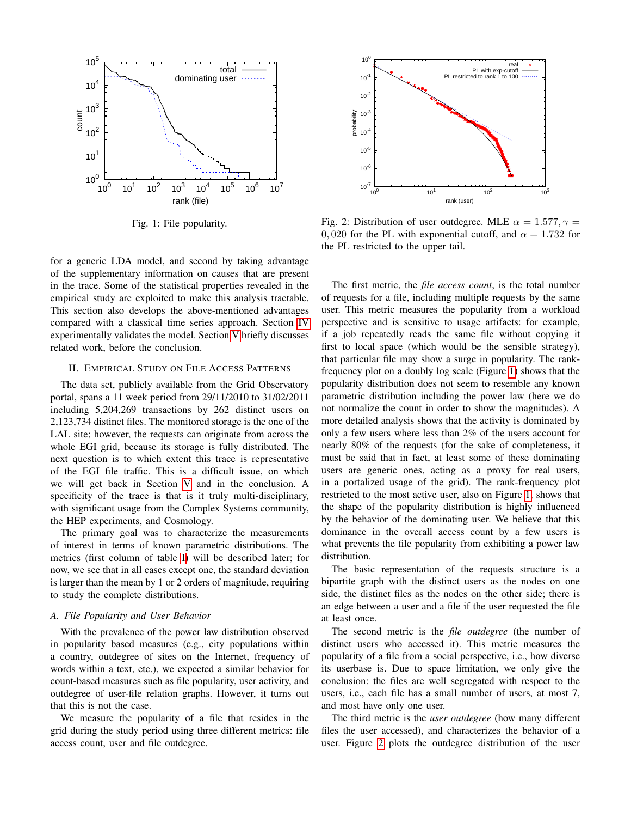

Fig. 1: File popularity.

for a generic LDA model, and second by taking advantage of the supplementary information on causes that are present in the trace. Some of the statistical properties revealed in the empirical study are exploited to make this analysis tractable. This section also develops the above-mentioned advantages compared with a classical time series approach. Section IV experimentally validates the model. Section V briefly discusses related work, before the conclusion.

#### II. EMPIRICAL STUDY ON FILE ACCESS PATTERNS

The data set, publicly available from the Grid Observatory portal, spans a 11 week period from 29/11/2010 to 31/02/2011 including 5,204,269 transactions by 262 distinct users on 2,123,734 distinct files. The monitored storage is the one of the LAL site; however, the requests can originate from across the whole EGI grid, because its storage is fully distributed. The next question is to which extent this trace is representative of the EGI file traffic. This is a difficult issue, on which we will get back in Section V and in the conclusion. A specificity of the trace is that is it truly multi-disciplinary, with significant usage from the Complex Systems community, the HEP experiments, and Cosmology.

The primary goal was to characterize the measurements of interest in terms of known parametric distributions. The metrics (first column of table I) will be described later; for now, we see that in all cases except one, the standard deviation is larger than the mean by 1 or 2 orders of magnitude, requiring to study the complete distributions.

#### *A. File Popularity and User Behavior*

With the prevalence of the power law distribution observed in popularity based measures (e.g., city populations within a country, outdegree of sites on the Internet, frequency of words within a text, etc.), we expected a similar behavior for count-based measures such as file popularity, user activity, and outdegree of user-file relation graphs. However, it turns out that this is not the case.

We measure the popularity of a file that resides in the grid during the study period using three different metrics: file access count, user and file outdegree.



Fig. 2: Distribution of user outdegree. MLE  $\alpha = 1.577$ ,  $\gamma =$ 0, 020 for the PL with exponential cutoff, and  $\alpha = 1.732$  for the PL restricted to the upper tail.

The first metric, the *file access count*, is the total number of requests for a file, including multiple requests by the same user. This metric measures the popularity from a workload perspective and is sensitive to usage artifacts: for example, if a job repeatedly reads the same file without copying it first to local space (which would be the sensible strategy), that particular file may show a surge in popularity. The rankfrequency plot on a doubly log scale (Figure 1) shows that the popularity distribution does not seem to resemble any known parametric distribution including the power law (here we do not normalize the count in order to show the magnitudes). A more detailed analysis shows that the activity is dominated by only a few users where less than 2% of the users account for nearly 80% of the requests (for the sake of completeness, it must be said that in fact, at least some of these dominating users are generic ones, acting as a proxy for real users, in a portalized usage of the grid). The rank-frequency plot restricted to the most active user, also on Figure 1, shows that the shape of the popularity distribution is highly influenced by the behavior of the dominating user. We believe that this dominance in the overall access count by a few users is what prevents the file popularity from exhibiting a power law distribution.

The basic representation of the requests structure is a bipartite graph with the distinct users as the nodes on one side, the distinct files as the nodes on the other side; there is an edge between a user and a file if the user requested the file at least once.

The second metric is the *file outdegree* (the number of distinct users who accessed it). This metric measures the popularity of a file from a social perspective, i.e., how diverse its userbase is. Due to space limitation, we only give the conclusion: the files are well segregated with respect to the users, i.e., each file has a small number of users, at most 7, and most have only one user.

The third metric is the *user outdegree* (how many different files the user accessed), and characterizes the behavior of a user. Figure 2 plots the outdegree distribution of the user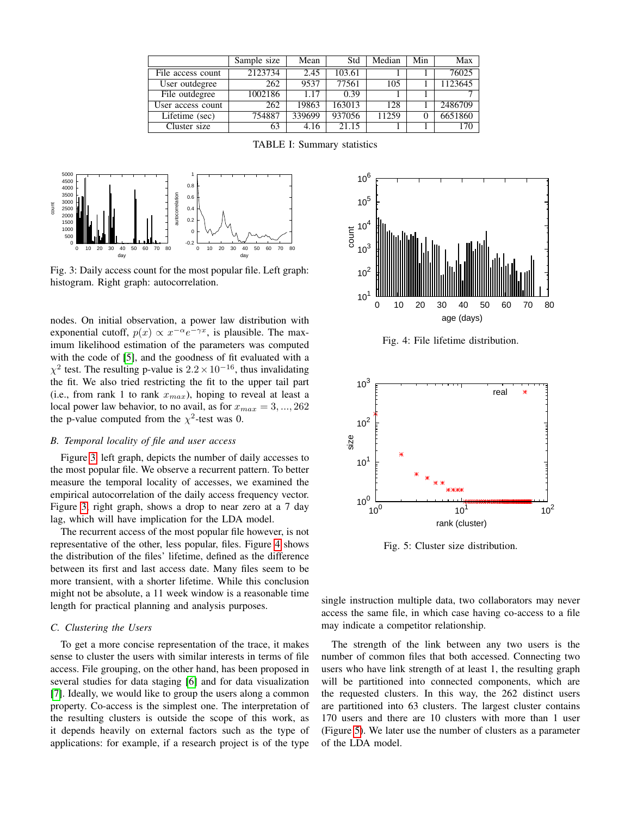|                   | Sample size | Mean   | Std    | Median | Min | Max     |
|-------------------|-------------|--------|--------|--------|-----|---------|
| File access count | 2123734     | 2.45   | 103.61 |        |     | 76025   |
| User outdegree    | 262         | 9537   | 77561  | 105    |     | 1123645 |
| File outdegree    | 1002186     | 1.17   | 0.39   |        |     |         |
| User access count | 262         | 19863  | 163013 | 128    |     | 2486709 |
| Lifetime (sec)    | 754887      | 339699 | 937056 | 11259  |     | 6651860 |
| Cluster size      | 63          | 4.16   | 21.15  |        |     | 170     |

|  | TABLE I: Summary statistics |  |
|--|-----------------------------|--|
|--|-----------------------------|--|



Fig. 3: Daily access count for the most popular file. Left graph: histogram. Right graph: autocorrelation.

nodes. On initial observation, a power law distribution with exponential cutoff,  $p(x) \propto x^{-\alpha} e^{-\gamma x}$ , is plausible. The maximum likelihood estimation of the parameters was computed with the code of [5], and the goodness of fit evaluated with a  $\chi^2$  test. The resulting p-value is  $2.2 \times 10^{-16}$ , thus invalidating the fit. We also tried restricting the fit to the upper tail part (i.e., from rank 1 to rank  $x_{max}$ ), hoping to reveal at least a local power law behavior, to no avail, as for  $x_{max} = 3, ..., 262$ the p-value computed from the  $\chi^2$ -test was 0.

#### *B. Temporal locality of file and user access*

Figure 3, left graph, depicts the number of daily accesses to the most popular file. We observe a recurrent pattern. To better measure the temporal locality of accesses, we examined the empirical autocorrelation of the daily access frequency vector. Figure 3, right graph, shows a drop to near zero at a 7 day lag, which will have implication for the LDA model.

The recurrent access of the most popular file however, is not representative of the other, less popular, files. Figure 4 shows the distribution of the files' lifetime, defined as the difference between its first and last access date. Many files seem to be more transient, with a shorter lifetime. While this conclusion might not be absolute, a 11 week window is a reasonable time length for practical planning and analysis purposes.

#### *C. Clustering the Users*

To get a more concise representation of the trace, it makes sense to cluster the users with similar interests in terms of file access. File grouping, on the other hand, has been proposed in several studies for data staging [6] and for data visualization [7]. Ideally, we would like to group the users along a common property. Co-access is the simplest one. The interpretation of the resulting clusters is outside the scope of this work, as it depends heavily on external factors such as the type of applications: for example, if a research project is of the type



Fig. 4: File lifetime distribution.



Fig. 5: Cluster size distribution.

single instruction multiple data, two collaborators may never access the same file, in which case having co-access to a file may indicate a competitor relationship.

The strength of the link between any two users is the number of common files that both accessed. Connecting two users who have link strength of at least 1, the resulting graph will be partitioned into connected components, which are the requested clusters. In this way, the 262 distinct users are partitioned into 63 clusters. The largest cluster contains 170 users and there are 10 clusters with more than 1 user (Figure 5). We later use the number of clusters as a parameter of the LDA model.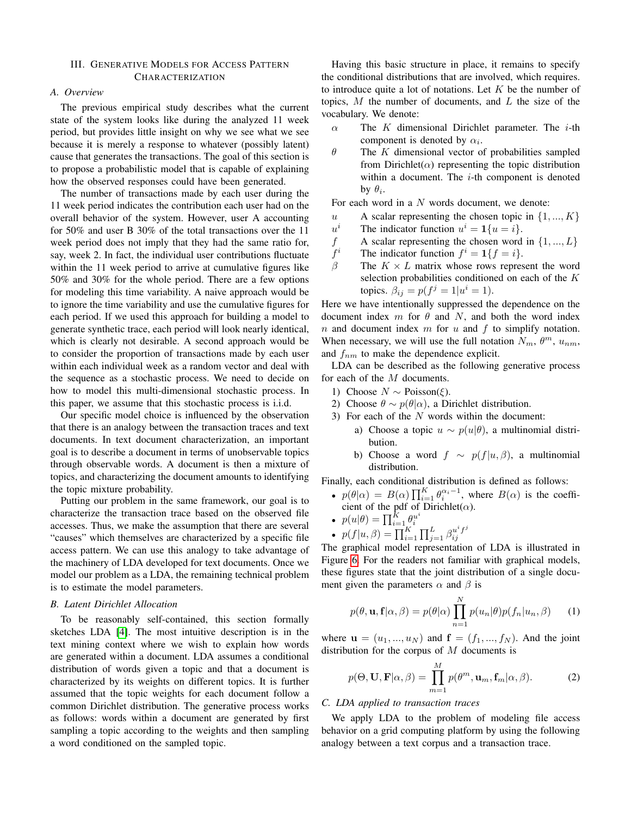#### III. GENERATIVE MODELS FOR ACCESS PATTERN CHARACTERIZATION

#### *A. Overview*

The previous empirical study describes what the current state of the system looks like during the analyzed 11 week period, but provides little insight on why we see what we see because it is merely a response to whatever (possibly latent) cause that generates the transactions. The goal of this section is to propose a probabilistic model that is capable of explaining how the observed responses could have been generated.

The number of transactions made by each user during the 11 week period indicates the contribution each user had on the overall behavior of the system. However, user A accounting for 50% and user B 30% of the total transactions over the 11 week period does not imply that they had the same ratio for, say, week 2. In fact, the individual user contributions fluctuate within the 11 week period to arrive at cumulative figures like 50% and 30% for the whole period. There are a few options for modeling this time variability. A naive approach would be to ignore the time variability and use the cumulative figures for each period. If we used this approach for building a model to generate synthetic trace, each period will look nearly identical, which is clearly not desirable. A second approach would be to consider the proportion of transactions made by each user within each individual week as a random vector and deal with the sequence as a stochastic process. We need to decide on how to model this multi-dimensional stochastic process. In this paper, we assume that this stochastic process is i.i.d.

Our specific model choice is influenced by the observation that there is an analogy between the transaction traces and text documents. In text document characterization, an important goal is to describe a document in terms of unobservable topics through observable words. A document is then a mixture of topics, and characterizing the document amounts to identifying the topic mixture probability.

Putting our problem in the same framework, our goal is to characterize the transaction trace based on the observed file accesses. Thus, we make the assumption that there are several "causes" which themselves are characterized by a specific file access pattern. We can use this analogy to take advantage of the machinery of LDA developed for text documents. Once we model our problem as a LDA, the remaining technical problem is to estimate the model parameters.

#### *B. Latent Dirichlet Allocation*

To be reasonably self-contained, this section formally sketches LDA [4]. The most intuitive description is in the text mining context where we wish to explain how words are generated within a document. LDA assumes a conditional distribution of words given a topic and that a document is characterized by its weights on different topics. It is further assumed that the topic weights for each document follow a common Dirichlet distribution. The generative process works as follows: words within a document are generated by first sampling a topic according to the weights and then sampling a word conditioned on the sampled topic.

Having this basic structure in place, it remains to specify the conditional distributions that are involved, which requires. to introduce quite a lot of notations. Let  $K$  be the number of topics,  $M$  the number of documents, and  $L$  the size of the vocabulary. We denote:

- $\alpha$  The K dimensional Dirichlet parameter. The *i*-th component is denoted by  $\alpha_i$ .
- $\theta$  The K dimensional vector of probabilities sampled from Dirichlet( $\alpha$ ) representing the topic distribution within a document. The  $i$ -th component is denoted by  $\theta_i$ .

For each word in a  $N$  words document, we denote:

- u A scalar representing the chosen topic in  $\{1, ..., K\}$
- $u^i$ <sup>i</sup> The indicator function  $u^i = \mathbf{1}\{u = i\}.$
- f A scalar representing the chosen word in  $\{1, ..., L\}$
- $f^i$ <sup>i</sup> The indicator function  $f^i = \mathbf{1} \{ f = i \}.$
- $β$  The  $K \times L$  matrix whose rows represent the word selection probabilities conditioned on each of the K topics.  $\beta_{ij} = p(f^j = 1 | u^i = 1)$ .

Here we have intentionally suppressed the dependence on the document index  $m$  for  $\theta$  and  $N$ , and both the word index  $n$  and document index  $m$  for  $u$  and  $f$  to simplify notation. When necessary, we will use the full notation  $N_m$ ,  $\theta^m$ ,  $u_{nm}$ , and  $f_{nm}$  to make the dependence explicit.

LDA can be described as the following generative process for each of the M documents.

- 1) Choose  $N \sim \text{Poisson}(\xi)$ .
- 2) Choose  $\theta \sim p(\theta|\alpha)$ , a Dirichlet distribution.
- 3) For each of the  $N$  words within the document:
	- a) Choose a topic  $u \sim p(u|\theta)$ , a multinomial distribution.
	- b) Choose a word  $f \sim p(f|u, \beta)$ , a multinomial distribution.

Finally, each conditional distribution is defined as follows:

- $p(\theta|\alpha) = B(\alpha) \prod_{i=1}^{K} \theta_i^{\alpha_i-1}$ , where  $B(\alpha)$  is the coefficient of the pdf of Dirichlet( $\alpha$ ).
- 

\n- $$
p(u|\theta) = \prod_{i=1}^K \theta_i^{u^i}
$$
\n- $p(f|u, \beta) = \prod_{i=1}^K \prod_{j=1}^L \beta_{ij}^{u^i f^j}$
\n

The graphical model representation of LDA is illustrated in Figure 6. For the readers not familiar with graphical models, these figures state that the joint distribution of a single document given the parameters  $\alpha$  and  $\beta$  is

$$
p(\theta, \mathbf{u}, \mathbf{f} | \alpha, \beta) = p(\theta | \alpha) \prod_{n=1}^{N} p(u_n | \theta) p(f_n | u_n, \beta)
$$
 (1)

where  $\mathbf{u} = (u_1, ..., u_N)$  and  $\mathbf{f} = (f_1, ..., f_N)$ . And the joint distribution for the corpus of M documents is

$$
p(\Theta, \mathbf{U}, \mathbf{F} | \alpha, \beta) = \prod_{m=1}^{M} p(\theta^m, \mathbf{u}_m, \mathbf{f}_m | \alpha, \beta).
$$
 (2)

#### *C. LDA applied to transaction traces*

We apply LDA to the problem of modeling file access behavior on a grid computing platform by using the following analogy between a text corpus and a transaction trace.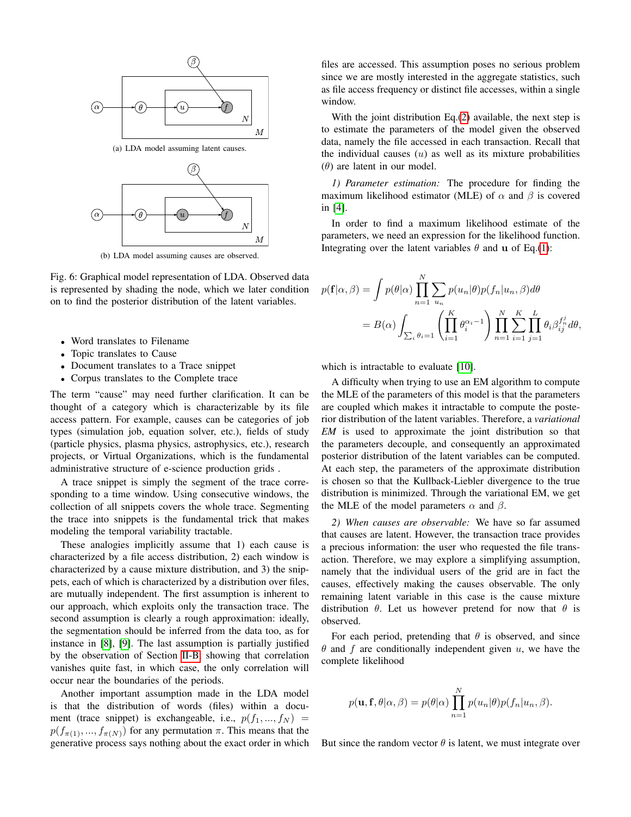

(b) LDA model assuming causes are observed.

Fig. 6: Graphical model representation of LDA. Observed data is represented by shading the node, which we later condition on to find the posterior distribution of the latent variables.

- Word translates to Filename
- Topic translates to Cause
- Document translates to a Trace snippet
- Corpus translates to the Complete trace

The term "cause" may need further clarification. It can be thought of a category which is characterizable by its file access pattern. For example, causes can be categories of job types (simulation job, equation solver, etc.), fields of study (particle physics, plasma physics, astrophysics, etc.), research projects, or Virtual Organizations, which is the fundamental administrative structure of e-science production grids .

A trace snippet is simply the segment of the trace corresponding to a time window. Using consecutive windows, the collection of all snippets covers the whole trace. Segmenting the trace into snippets is the fundamental trick that makes modeling the temporal variability tractable.

These analogies implicitly assume that 1) each cause is characterized by a file access distribution, 2) each window is characterized by a cause mixture distribution, and 3) the snippets, each of which is characterized by a distribution over files, are mutually independent. The first assumption is inherent to our approach, which exploits only the transaction trace. The second assumption is clearly a rough approximation: ideally, the segmentation should be inferred from the data too, as for instance in [8], [9]. The last assumption is partially justified by the observation of Section II-B, showing that correlation vanishes quite fast, in which case, the only correlation will occur near the boundaries of the periods.

Another important assumption made in the LDA model is that the distribution of words (files) within a document (trace snippet) is exchangeable, i.e.,  $p(f_1, ..., f_N)$  =  $p(f_{\pi(1)},..., f_{\pi(N)})$  for any permutation  $\pi$ . This means that the generative process says nothing about the exact order in which

files are accessed. This assumption poses no serious problem since we are mostly interested in the aggregate statistics, such as file access frequency or distinct file accesses, within a single window.

With the joint distribution Eq.(2) available, the next step is to estimate the parameters of the model given the observed data, namely the file accessed in each transaction. Recall that the individual causes  $(u)$  as well as its mixture probabilities  $(\theta)$  are latent in our model.

*1) Parameter estimation:* The procedure for finding the maximum likelihood estimator (MLE) of  $\alpha$  and  $\beta$  is covered in [4].

In order to find a maximum likelihood estimate of the parameters, we need an expression for the likelihood function. Integrating over the latent variables  $\theta$  and u of Eq.(1):

$$
p(\mathbf{f}|\alpha,\beta) = \int p(\theta|\alpha) \prod_{n=1}^{N} \sum_{u_n} p(u_n|\theta) p(f_n|u_n,\beta) d\theta
$$
  
=  $B(\alpha) \int_{\sum_i \theta_i = 1} \left( \prod_{i=1}^{K} \theta_i^{\alpha_i - 1} \right) \prod_{n=1}^{N} \sum_{i=1}^{K} \prod_{j=1}^{L} \theta_i \beta_{ij}^{f_n^j} d\theta,$ 

which is intractable to evaluate [10].

A difficulty when trying to use an EM algorithm to compute the MLE of the parameters of this model is that the parameters are coupled which makes it intractable to compute the posterior distribution of the latent variables. Therefore, a *variational EM* is used to approximate the joint distribution so that the parameters decouple, and consequently an approximated posterior distribution of the latent variables can be computed. At each step, the parameters of the approximate distribution is chosen so that the Kullback-Liebler divergence to the true distribution is minimized. Through the variational EM, we get the MLE of the model parameters  $\alpha$  and  $\beta$ .

*2) When causes are observable:* We have so far assumed that causes are latent. However, the transaction trace provides a precious information: the user who requested the file transaction. Therefore, we may explore a simplifying assumption, namely that the individual users of the grid are in fact the causes, effectively making the causes observable. The only remaining latent variable in this case is the cause mixture distribution  $\theta$ . Let us however pretend for now that  $\theta$  is observed.

For each period, pretending that  $\theta$  is observed, and since  $\theta$  and  $f$  are conditionally independent given  $u$ , we have the complete likelihood

$$
p(\mathbf{u}, \mathbf{f}, \theta | \alpha, \beta) = p(\theta | \alpha) \prod_{n=1}^{N} p(u_n | \theta) p(f_n | u_n, \beta).
$$

But since the random vector  $\theta$  is latent, we must integrate over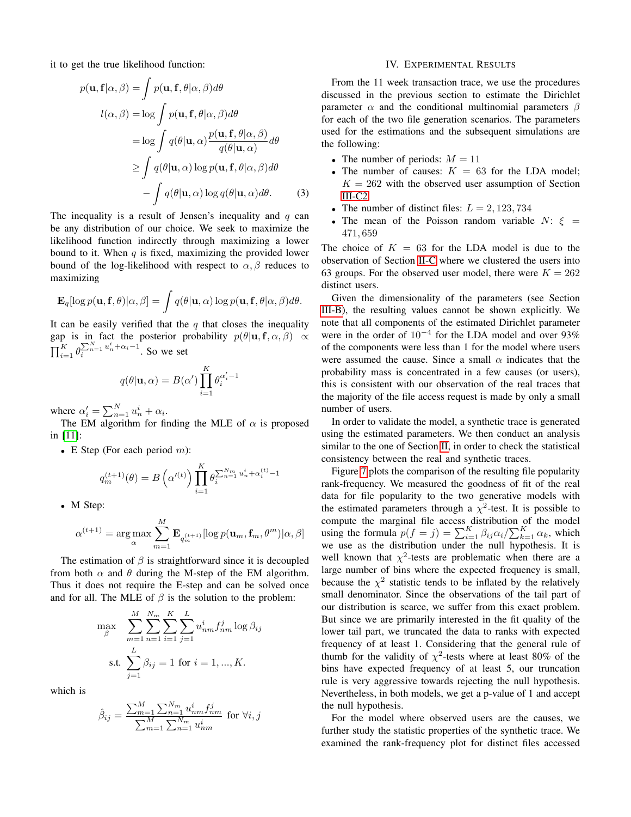it to get the true likelihood function:

$$
p(\mathbf{u}, \mathbf{f} | \alpha, \beta) = \int p(\mathbf{u}, \mathbf{f}, \theta | \alpha, \beta) d\theta
$$
  

$$
l(\alpha, \beta) = \log \int p(\mathbf{u}, \mathbf{f}, \theta | \alpha, \beta) d\theta
$$
  

$$
= \log \int q(\theta | \mathbf{u}, \alpha) \frac{p(\mathbf{u}, \mathbf{f}, \theta | \alpha, \beta)}{q(\theta | \mathbf{u}, \alpha)} d\theta
$$
  

$$
\geq \int q(\theta | \mathbf{u}, \alpha) \log p(\mathbf{u}, \mathbf{f}, \theta | \alpha, \beta) d\theta
$$
  

$$
- \int q(\theta | \mathbf{u}, \alpha) \log q(\theta | \mathbf{u}, \alpha) d\theta.
$$
 (3)

The inequality is a result of Jensen's inequality and  $q$  can be any distribution of our choice. We seek to maximize the likelihood function indirectly through maximizing a lower bound to it. When  $q$  is fixed, maximizing the provided lower bound of the log-likelihood with respect to  $\alpha$ ,  $\beta$  reduces to maximizing

$$
\mathbf{E}_{q}[\log p(\mathbf{u}, \mathbf{f}, \theta) | \alpha, \beta] = \int q(\theta | \mathbf{u}, \alpha) \log p(\mathbf{u}, \mathbf{f}, \theta | \alpha, \beta) d\theta.
$$

It can be easily verified that the  $q$  that closes the inequality gap is in fact the posterior probability  $p(\theta | \mathbf{u}, \mathbf{f}, \alpha, \beta) \propto$  $\prod_{i=1}^K \theta_i^{\sum_{n=1}^N u_n^i + \alpha_i - 1}$ . So we set

$$
q(\theta|\mathbf{u}, \alpha) = B(\alpha') \prod_{i=1}^{K} \theta_i^{\alpha'_i - 1}
$$

where  $\alpha'_i = \sum_{n=1}^N u_n^i + \alpha_i$ .

The EM algorithm for finding the MLE of  $\alpha$  is proposed in [11]:

• E Step (For each period  $m$ ):

$$
q_m^{(t+1)}(\theta) = B\left(\alpha'^{(t)}\right) \prod_{i=1}^K \theta_i^{\sum_{n=1}^{N_m} u_n^i + \alpha_i^{(t)} - 1}
$$

• M Step:

$$
\alpha^{(t+1)} = \argmax_{\alpha} \sum_{m=1}^{M} \mathbf{E}_{q_m^{(t+1)}}[\log p(\mathbf{u}_m,\mathbf{f}_m,\theta^m)|\alpha,\beta]
$$

The estimation of  $\beta$  is straightforward since it is decoupled from both  $\alpha$  and  $\theta$  during the M-step of the EM algorithm. Thus it does not require the E-step and can be solved once and for all. The MLE of  $\beta$  is the solution to the problem:

$$
\max_{\beta} \sum_{m=1}^{M} \sum_{n=1}^{N_m} \sum_{i=1}^{K} \sum_{j=1}^{L} u_{nm}^{i} f_{nm}^{j} \log \beta_{ij}
$$
  
s.t. 
$$
\sum_{j=1}^{L} \beta_{ij} = 1 \text{ for } i = 1, ..., K.
$$

which is

$$
\hat{\beta}_{ij} = \frac{\sum_{m=1}^{M} \sum_{n=1}^{N_m} u_{nm}^i f_{nm}^j}{\sum_{m=1}^{M} \sum_{n=1}^{N_m} u_{nm}^i}
$$
 for  $\forall i, j$ 

#### IV. EXPERIMENTAL RESULTS

From the 11 week transaction trace, we use the procedures discussed in the previous section to estimate the Dirichlet parameter  $\alpha$  and the conditional multinomial parameters  $\beta$ for each of the two file generation scenarios. The parameters used for the estimations and the subsequent simulations are the following:

- The number of periods:  $M = 11$
- The number of causes:  $K = 63$  for the LDA model;  $K = 262$  with the observed user assumption of Section III-C2.
- The number of distinct files:  $L = 2, 123, 734$
- The mean of the Poisson random variable  $N: \xi =$ 471, 659

The choice of  $K = 63$  for the LDA model is due to the observation of Section II-C where we clustered the users into 63 groups. For the observed user model, there were  $K = 262$ distinct users.

Given the dimensionality of the parameters (see Section III-B), the resulting values cannot be shown explicitly. We note that all components of the estimated Dirichlet parameter were in the order of  $10^{-4}$  for the LDA model and over 93% of the components were less than 1 for the model where users were assumed the cause. Since a small  $\alpha$  indicates that the probability mass is concentrated in a few causes (or users), this is consistent with our observation of the real traces that the majority of the file access request is made by only a small number of users.

In order to validate the model, a synthetic trace is generated using the estimated parameters. We then conduct an analysis similar to the one of Section II, in order to check the statistical consistency between the real and synthetic traces.

Figure 7 plots the comparison of the resulting file popularity rank-frequency. We measured the goodness of fit of the real data for file popularity to the two generative models with the estimated parameters through a  $\chi^2$ -test. It is possible to compute the marginal file access distribution of the model using the formula  $p(f = j) = \sum_{i=1}^{K} \beta_{ij} \alpha_i / \sum_{k=1}^{K} \alpha_k$ , which we use as the distribution under the null hypothesis. It is well known that  $\chi^2$ -tests are problematic when there are a large number of bins where the expected frequency is small, because the  $\chi^2$  statistic tends to be inflated by the relatively small denominator. Since the observations of the tail part of our distribution is scarce, we suffer from this exact problem. But since we are primarily interested in the fit quality of the lower tail part, we truncated the data to ranks with expected frequency of at least 1. Considering that the general rule of thumb for the validity of  $\chi^2$ -tests where at least 80% of the bins have expected frequency of at least 5, our truncation rule is very aggressive towards rejecting the null hypothesis. Nevertheless, in both models, we get a p-value of 1 and accept the null hypothesis.

For the model where observed users are the causes, we further study the statistic properties of the synthetic trace. We examined the rank-frequency plot for distinct files accessed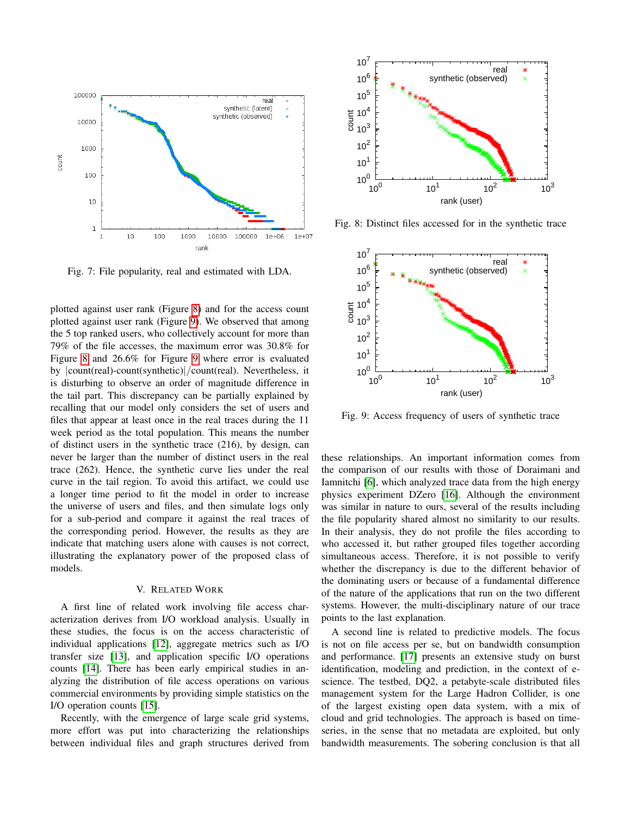

Fig. 7: File popularity, real and estimated with LDA.

plotted against user rank (Figure 8) and for the access count plotted against user rank (Figure 9). We observed that among the 5 top ranked users, who collectively account for more than 79% of the file accesses, the maximum error was 30.8% for Figure 8 and 26.6% for Figure 9 where error is evaluated by |count(real)-count(synthetic)|/count(real). Nevertheless, it is disturbing to observe an order of magnitude difference in the tail part. This discrepancy can be partially explained by recalling that our model only considers the set of users and files that appear at least once in the real traces during the 11 week period as the total population. This means the number of distinct users in the synthetic trace (216), by design, can never be larger than the number of distinct users in the real trace (262). Hence, the synthetic curve lies under the real curve in the tail region. To avoid this artifact, we could use a longer time period to fit the model in order to increase the universe of users and files, and then simulate logs only for a sub-period and compare it against the real traces of the corresponding period. However, the results as they are indicate that matching users alone with causes is not correct, illustrating the explanatory power of the proposed class of models.

#### V. RELATED WORK

A first line of related work involving file access characterization derives from I/O workload analysis. Usually in these studies, the focus is on the access characteristic of individual applications [12], aggregate metrics such as I/O transfer size [13], and application specific I/O operations counts [14]. There has been early empirical studies in analyzing the distribution of file access operations on various commercial environments by providing simple statistics on the I/O operation counts [15].

Recently, with the emergence of large scale grid systems, more effort was put into characterizing the relationships between individual files and graph structures derived from



Fig. 8: Distinct files accessed for in the synthetic trace



Fig. 9: Access frequency of users of synthetic trace

these relationships. An important information comes from the comparison of our results with those of Doraimani and Iamnitchi [6], which analyzed trace data from the high energy physics experiment DZero [16]. Although the environment was similar in nature to ours, several of the results including the file popularity shared almost no similarity to our results. In their analysis, they do not profile the files according to who accessed it, but rather grouped files together according simultaneous access. Therefore, it is not possible to verify whether the discrepancy is due to the different behavior of the dominating users or because of a fundamental difference of the nature of the applications that run on the two different systems. However, the multi-disciplinary nature of our trace points to the last explanation.

A second line is related to predictive models. The focus is not on file access per se, but on bandwidth consumption and performance. [17] presents an extensive study on burst identification, modeling and prediction, in the context of escience. The testbed, DQ2, a petabyte-scale distributed files management system for the Large Hadron Collider, is one of the largest existing open data system, with a mix of cloud and grid technologies. The approach is based on timeseries, in the sense that no metadata are exploited, but only bandwidth measurements. The sobering conclusion is that all